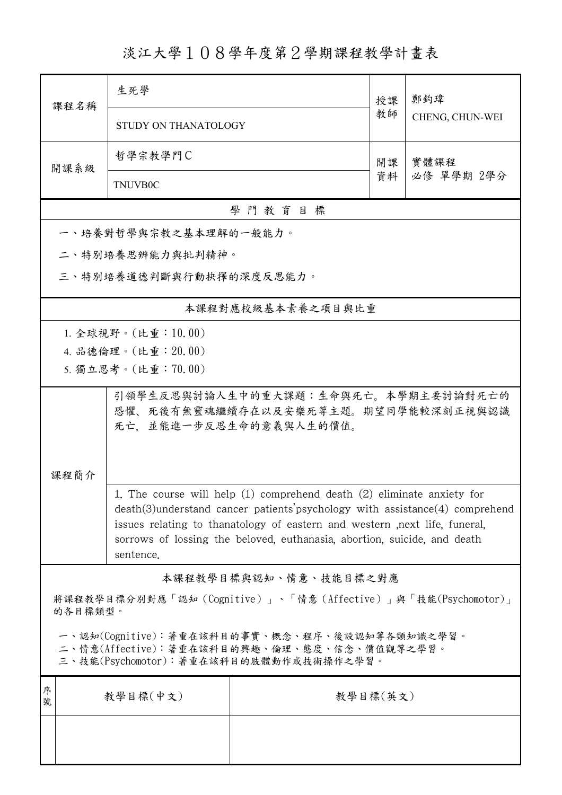## 淡江大學108學年度第2學期課程教學計畫表

| 课程名稱                                                                                                                                    | 生死學                                                                                                                                                                                                                                                                                                                                         |                                                                | 授課 | 鄭鈞瑋                |  |  |  |  |
|-----------------------------------------------------------------------------------------------------------------------------------------|---------------------------------------------------------------------------------------------------------------------------------------------------------------------------------------------------------------------------------------------------------------------------------------------------------------------------------------------|----------------------------------------------------------------|----|--------------------|--|--|--|--|
|                                                                                                                                         | STUDY ON THANATOLOGY                                                                                                                                                                                                                                                                                                                        |                                                                | 教師 | CHENG, CHUN-WEI    |  |  |  |  |
| 開課系級                                                                                                                                    | 哲學宗教學門C                                                                                                                                                                                                                                                                                                                                     |                                                                |    | 實體課程<br>必修 單學期 2學分 |  |  |  |  |
|                                                                                                                                         | <b>TNUVB0C</b>                                                                                                                                                                                                                                                                                                                              |                                                                |    |                    |  |  |  |  |
|                                                                                                                                         |                                                                                                                                                                                                                                                                                                                                             | 學門教育目標                                                         |    |                    |  |  |  |  |
|                                                                                                                                         | 一、培養對哲學與宗教之基本理解的一般能力。                                                                                                                                                                                                                                                                                                                       |                                                                |    |                    |  |  |  |  |
|                                                                                                                                         | 二、特別培養思辨能力與批判精神。                                                                                                                                                                                                                                                                                                                            |                                                                |    |                    |  |  |  |  |
| 三、特別培養道德判斷與行動抉擇的深度反思能力。                                                                                                                 |                                                                                                                                                                                                                                                                                                                                             |                                                                |    |                    |  |  |  |  |
|                                                                                                                                         | 本課程對應校級基本素養之項目與比重                                                                                                                                                                                                                                                                                                                           |                                                                |    |                    |  |  |  |  |
|                                                                                                                                         | 1. 全球視野。(比重: 10.00)                                                                                                                                                                                                                                                                                                                         |                                                                |    |                    |  |  |  |  |
|                                                                                                                                         | 4. 品德倫理。(比重: 20.00)                                                                                                                                                                                                                                                                                                                         |                                                                |    |                    |  |  |  |  |
|                                                                                                                                         | 5. 獨立思考。(比重:70.00)                                                                                                                                                                                                                                                                                                                          |                                                                |    |                    |  |  |  |  |
|                                                                                                                                         | 引領學生反思與討論人生中的重大課題:生命與死亡。本學期主要討論對死亡的<br>恐懼、死後有無靈魂繼續存在以及安樂死等主題。期望同學能較深刻正視與認識<br>死亡,並能進一步反思生命的意義與人生的價值。                                                                                                                                                                                                                                        |                                                                |    |                    |  |  |  |  |
| 课程简介                                                                                                                                    |                                                                                                                                                                                                                                                                                                                                             |                                                                |    |                    |  |  |  |  |
|                                                                                                                                         | The course will help $(1)$ comprehend death $(2)$ eliminate anxiety for<br>1.<br>$death(3)$ understand cancer patients' psychology with assistance $(4)$ comprehend<br>issues relating to thanatology of eastern and western , next life, funeral,<br>sorrows of lossing the beloved, euthanasia, abortion, suicide, and death<br>sentence. |                                                                |    |                    |  |  |  |  |
|                                                                                                                                         |                                                                                                                                                                                                                                                                                                                                             | 本課程教學目標與認知、情意、技能目標之對應                                          |    |                    |  |  |  |  |
| 的各目標類型。                                                                                                                                 |                                                                                                                                                                                                                                                                                                                                             | 將課程教學目標分別對應「認知 (Cognitive)」、「情意 (Affective)」與「技能(Psychomotor)」 |    |                    |  |  |  |  |
| 一、認知(Cognitive):著重在該科目的事實、概念、程序、後設認知等各類知識之學習。<br>二、情意(Affective):著重在該科目的興趣、倫理、態度、信念、價值觀等之學習。<br>三、技能(Psychomotor): 著重在該科目的肢體動作或技術操作之學習。 |                                                                                                                                                                                                                                                                                                                                             |                                                                |    |                    |  |  |  |  |
| 序<br>號                                                                                                                                  | 教學目標(中文)                                                                                                                                                                                                                                                                                                                                    | 教學目標(英文)                                                       |    |                    |  |  |  |  |
|                                                                                                                                         |                                                                                                                                                                                                                                                                                                                                             |                                                                |    |                    |  |  |  |  |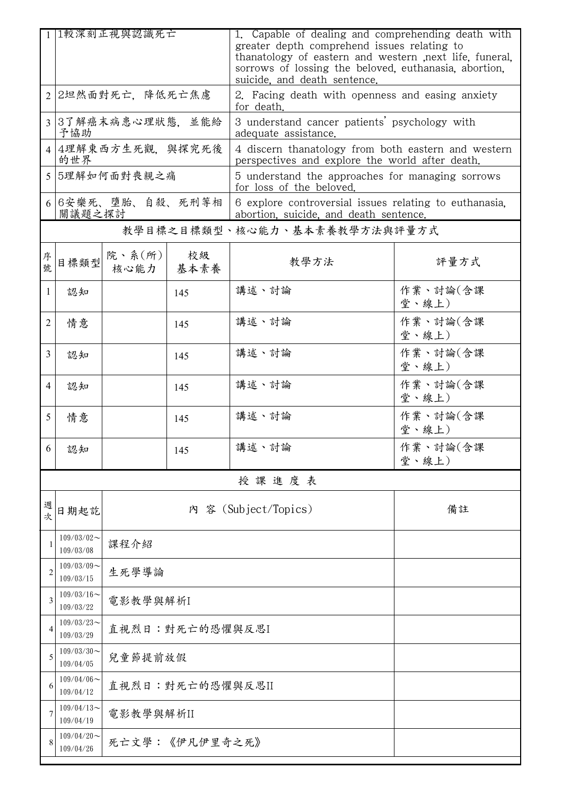|                | 1 1較深刻正視與認識死亡                 |                      |            | 1. Capable of dealing and comprehending death with<br>greater depth comprehend issues relating to<br>thanatology of eastern and western next life, funeral,<br>sorrows of lossing the beloved, euthanasia, abortion,<br>suicide, and death sentence. |                   |  |
|----------------|-------------------------------|----------------------|------------|------------------------------------------------------------------------------------------------------------------------------------------------------------------------------------------------------------------------------------------------------|-------------------|--|
|                | 2 2坦然面對死亡,降低死亡焦慮              |                      |            | 2. Facing death with openness and easing anxiety<br>for death.                                                                                                                                                                                       |                   |  |
|                | 3 3了解癌末病患心理狀態,並能給<br>予協助      |                      |            | 3 understand cancer patients' psychology with<br>adequate assistance.                                                                                                                                                                                |                   |  |
|                | 4 4理解東西方生死觀, 與探究死後<br>的世界     |                      |            | 4 discern thanatology from both eastern and western<br>perspectives and explore the world after death.                                                                                                                                               |                   |  |
|                | 5 5理解如何面對喪親之痛                 |                      |            | 5 understand the approaches for managing sorrows<br>for loss of the beloved.                                                                                                                                                                         |                   |  |
|                | 6 6 安樂死、墮胎、自殺、死刑等相<br>關議題之探討  |                      |            | 6 explore controversial issues relating to euthanasia.<br>abortion, suicide, and death sentence.                                                                                                                                                     |                   |  |
|                |                               |                      |            | 教學目標之目標類型、核心能力、基本素養教學方法與評量方式                                                                                                                                                                                                                         |                   |  |
| 序號             | 目標類型                          | 院、系(所)<br>核心能力       | 校級<br>基本素養 | 教學方法                                                                                                                                                                                                                                                 | 評量方式              |  |
| 1              | 認知                            |                      | 145        | 講述、討論                                                                                                                                                                                                                                                | 作業、討論(含課<br>堂、線上) |  |
| $\overline{2}$ | 情意                            |                      | 145        | 講述、討論                                                                                                                                                                                                                                                | 作業、討論(含課<br>堂、線上) |  |
| $\overline{3}$ | 認知                            |                      | 145        | 講述、討論                                                                                                                                                                                                                                                | 作業、討論(含課<br>堂、線上) |  |
| $\overline{4}$ | 認知                            |                      | 145        | 講述、討論                                                                                                                                                                                                                                                | 作業、討論(含課<br>堂、線上) |  |
| 5              | 情意                            |                      | 145        | 講述、討論                                                                                                                                                                                                                                                | 作業、討論(含課<br>堂、線上) |  |
| 6              | 認知                            |                      | 145        | 講述、討論                                                                                                                                                                                                                                                | 作業、討論(含課<br>堂、線上) |  |
|                |                               |                      |            | 授課進度表                                                                                                                                                                                                                                                |                   |  |
| 週次             | 日期起訖                          | 內 容 (Subject/Topics) |            |                                                                                                                                                                                                                                                      | 備註                |  |
|                | $109/03/02$ ~<br>109/03/08    | 課程介紹                 |            |                                                                                                                                                                                                                                                      |                   |  |
| 2              | $109/03/09$ ~<br>109/03/15    | 生死學導論                |            |                                                                                                                                                                                                                                                      |                   |  |
| 3              | $109/03/16$ ~<br>109/03/22    | 電影教學與解析I             |            |                                                                                                                                                                                                                                                      |                   |  |
| 4              | $109/03/23$ ~<br>109/03/29    | 直視烈日:對死亡的恐懼與反思I      |            |                                                                                                                                                                                                                                                      |                   |  |
|                | $109/03/30$ ~<br>109/04/05    | 兒童節提前放假              |            |                                                                                                                                                                                                                                                      |                   |  |
| 6              | $109/04/06 \sim$<br>109/04/12 | 直視烈日:對死亡的恐懼與反思II     |            |                                                                                                                                                                                                                                                      |                   |  |
|                | $109/04/13$ ~<br>109/04/19    | 電影教學與解析II            |            |                                                                                                                                                                                                                                                      |                   |  |
|                | $109/04/20$ ~<br>109/04/26    | 死亡文學:《伊凡伊里奇之死》       |            |                                                                                                                                                                                                                                                      |                   |  |